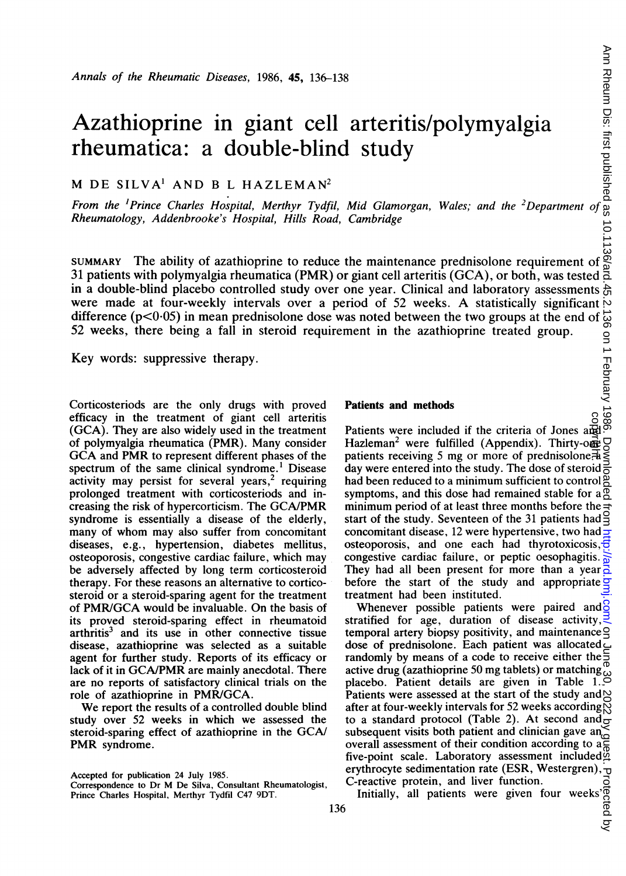# Azathioprine in giant cell arteritis/polymyalgia rheumatica: a double-blind study Annals of the Rheumatic Diseases, 1986, 45, 136-138<br>  $\frac{3}{2}$ <br>  $\frac{3}{2}$ <br>  $\frac{3}{2}$ <br>  $\frac{3}{2}$ <br>  $\frac{3}{2}$ <br>  $\frac{3}{2}$ <br>  $\frac{3}{2}$ <br>  $\frac{3}{2}$ <br>  $\frac{3}{2}$ <br>  $\frac{3}{2}$ <br>  $\frac{3}{2}$ <br>  $\frac{3}{2}$ <br>  $\frac{3}{2}$ <br>  $\frac{3}{2}$ <br>  $\frac{3}{2}$ <br>  $\frac$

# M DE SILVA' AND <sup>B</sup> <sup>L</sup> HAZLEMAN2

Rheumatology, Addenbrooke's Hospital, Hills Road, Cambridge

SUMMARY The ability of azathioprine to reduce the maintenance prednisolone requirement of 31 patients with polymyalgia rheumatica (PMR) or giant cell arteritis (GCA), or both, was tested in a double-blind placebo controlled study over one year. Clinical and laboratory assessments  $\frac{1}{60}$ were made at four-weekly intervals over a period of 52 weeks. A statistically significant  $\sim$ difference  $(p<0.05)$  in mean prednisolone dose was noted between the two groups at the end of 52 weeks, there being a fall in steroid requirement in the azathioprine treated group.

Key words: suppressive therapy.

Corticosteriods are the only drugs with proved efficacy in the treatment of giant cell arteritis (GCA). They are also widely used in the treatment of polymyalgia rheumatica (PMR). Many consider GCA and PMR to represent different phases of the spectrum of the same clinical syndrome.' Disease activity may persist for several years,<sup>2</sup> requiring prolonged treatment with corticosteriods and increasing the risk of hypercorticism. The GCA/PMR syndrome is essentially a disease of the elderly, many of whom may also suffer from concomitant diseases, e.g., hypertension, diabetes mellitus, osteoporosis, congestive cardiac failure, which may be adversely affected by long term corticosteroid therapy. For these reasons an alternative to corticosteroid or a steroid-sparing agent for the treatment of PMR/GCA would be invaluable. On the basis of its proved steroid-sparing effect in rheumatoid arthritis<sup>3</sup> and its use in other connective tissue disease, azathioprine was selected as a suitable agent for further study. Reports of its efficacy or lack of it in GCA/PMR are mainly anecdotal. There are no reports of satisfactory clinical trials on the role of azathioprine in PMR/GCA.

We report the results of <sup>a</sup> controlled double blind study over <sup>52</sup> weeks in which we assessed the steroid-sparing effect of azathioprine in the GCA/ PMR syndrome.

### Patients and methods

Patients were included if the criteria of Jones and Hazleman<sup>2</sup> were fulfilled (Appendix). Thirty-one patients receiving 5 mg or more of prednisolone. day were entered into the study. The dose of steroid had been reduced to a minimum sufficient to control  $\frac{8}{5}$ symptoms, and this dose had remained stable for  $a<sub>o</sub><sup>o</sup>$ minimum period of at least three months before the start of the study. Seventeen of the 31 patients had concomitant disease, 12 were hypertensive, two had osteoporosis, and one each had thyrotoxicosis, congestive cardiac failure, or peptic oesophagitis. They had all been present for more than a year before the start of the study and appropriate treatment had been instituted. copyright.

Whenever possible patients were paired and  $\frac{1}{6}$ stratified for age, duration of disease activity,  $\overline{\mathbb{R}}$ temporal artery biopsy positivity, and maintenance  $\triangleleft$ dose of prednisolone. Each patient was allocated randomly by means of a code to receive either the  $\frac{1}{2}$ active drug (azathioprine 50 mg tablets) or matching placebo. Patient details are given in Table 1. Patients were assessed at the start of the study and  $\bowtie$ after at four-weekly intervals for 52 weeks according  $\%$ to a standard protocol (Table 2). At second and  $\frac{1}{\sigma}$ subsequent visits both patient and clinician gave an<br>overall assessment of their condition according to  $a_n^C$ overall assessment of their condition according to a five-point scale. Laboratory assessment included erythrocyte sedimentation rate (ESR, Westergren),  $\tau$ C-reactive protein, and liver function.

reactive protein, and liver function.<br>Initially, all patients were given four weeks  $\begin{array}{c}\n0 \\
0 \\
0 \\
0 \\
0\n\end{array}$ 

Accepted for publication 24 July 1985.

Correspondence to Dr M De Silva, Consultant Rheumatologist, Prince Charles Hospital, Merthyr Tydfil C47 9DT.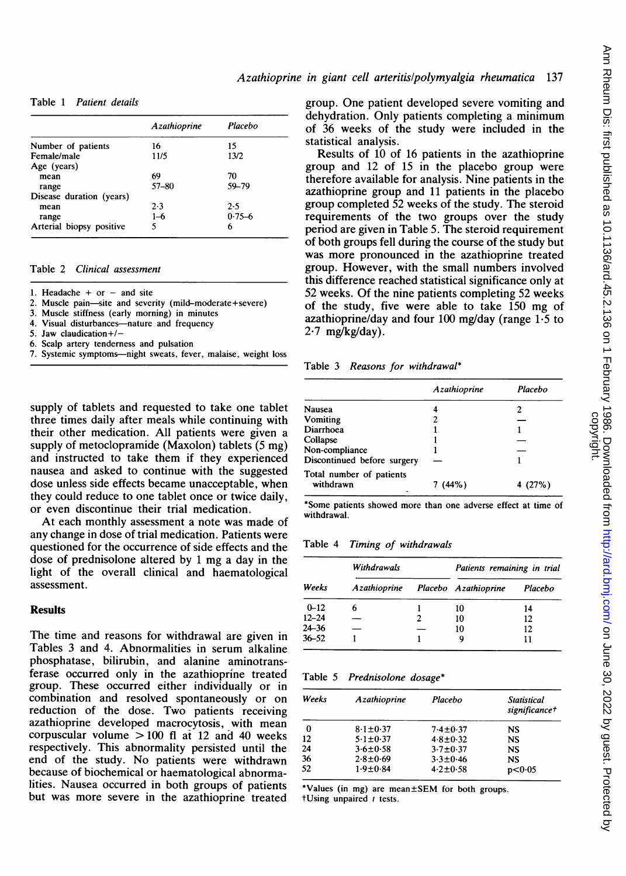Table <sup>1</sup> Patient details

|                          | Azathioprine | Placebo    |
|--------------------------|--------------|------------|
| Number of patients       | 16           | 15         |
| Female/male              | 11/5         | 13/2       |
| Age (years)              |              |            |
| mean                     | 69           | 70         |
| range                    | $57 - 80$    | 59-79      |
| Disease duration (years) |              |            |
| mean                     | 2.3          | 2.5        |
| range                    | $1 - 6$      | $0.75 - 6$ |
| Arterial biopsy positive | 5            | 6          |

# Table 2 Clinical assessment

1. Headache + or - and site

- 2. Muscle pain-site and severity (mild-moderate+severe)
- 3. Muscle stiffness (early morning) in minutes
- 4. Visual disturbances-nature and frequency
- 5. Jaw claudication+/-
- 6. Scalp artery tenderness and pulsation
- 7. Systemic symptoms-night sweats, fever, malaise, weight loss

supply of tablets and requested to take one tablet three times daily after meals while continuing with their other medication. All patients were given a supply of metoclopramide (Maxolon) tablets (5 mg) and instructed to take them if they experienced nausea and asked to continue with the suggested dose unless side effects became unacceptable, when they could reduce to one tablet once or twice daily, or even discontinue their trial medication.

At each monthly assessment a note was made of any change in dose of trial medication. Patients were questioned for the occurrence of side effects and the dose of prednisolone altered by <sup>1</sup> mg <sup>a</sup> day in the light of the overall clinical and haematological assessment.

# **Results**

The time and reasons for withdrawal are given in Tables 3 and 4. Abnormalities in serum alkaline phosphatase, bilirubin, and alanine aminotransferase occurred only in the azathioprine treated group. These occurred either individually or in combination and resolved spontaneously or on reduction of the dose. Two patients receiving azathioprine developed macrocytosis, with mean corpuscular volume  $> 100$  fl at 12 and 40 weeks respectively. This abnormality persisted until the end of the study. No patients were withdrawn because of biochemical or haematological abnormalities. Nausea occurred in both groups of patients but was more severe in the azathioprine treated group. One patient developed severe vomiting and dehydration. Only patients completing a minimum of 36 weeks of the study were included in the statistical analysis.

Results of 10 of 16 patients in the azathioprine group and 12 of 15 in the placebo group were therefore available for analysis. Nine patients in the azathioprine group and 11 patients in the placebo group completed 52 weeks of the study. The steroid requirements of the two groups over the study period are given in Table 5. The steroid requirement of both groups fell during the course of the study but was more pronounced in the azathioprine treated group. However, with the small numbers involved this difference reached statistical significance only at 52 weeks. Of the nine patients completing 52 weeks of the study, five were able to take 150 mg of azathioprine/day and four 100 mg/day (range  $1.5$  to  $2.7$  mg/kg/day).

Table 3 Reasons for withdrawal\*

|                                       | Azathioprine | Placebo |
|---------------------------------------|--------------|---------|
| Nausea                                |              |         |
| Vomiting                              |              |         |
| Diarrhoea                             |              |         |
| Collapse                              |              |         |
| Non-compliance                        |              |         |
| Discontinued before surgery           |              |         |
| Total number of patients<br>withdrawn | 7(44%)       | 4 (27%) |

\*Some patients showed more than one adverse effect at time of withdrawal.

Table 4 Timing of withdrawals

|           | Withdrawals                       |  | Patients remaining in trial |         |
|-----------|-----------------------------------|--|-----------------------------|---------|
| Weeks     | Azathioprine Placebo Azathioprine |  |                             | Placebo |
| $0 - 12$  | 6                                 |  | 10                          | 14      |
| $12 - 24$ |                                   |  | 10                          | 12      |
| $24 - 36$ |                                   |  | 10                          | 12      |
| $36 - 52$ |                                   |  |                             |         |

Table 5 Prednisolone dosage\*

| Weeks | Azathioprine   | Placebo        | <b>Statistical</b><br>significance† |  |
|-------|----------------|----------------|-------------------------------------|--|
| 0     | $8.1 \pm 0.37$ | $7.4 \pm 0.37$ | NS                                  |  |
| 12    | $5.1 \pm 0.37$ | $4.8 \pm 0.32$ | <b>NS</b>                           |  |
| 24    | $3.6 \pm 0.58$ | $3.7 \pm 0.37$ | NS                                  |  |
| 36    | $2.8 + 0.69$   | $3.3 \pm 0.46$ | <b>NS</b>                           |  |
| 52    | $1.9 + 0.84$   | $4.2 \pm 0.58$ | p < 0.05                            |  |

\*Values (in mg) are mean±SEM for both groups.  $t$ Using unpaired  $t$  tests.